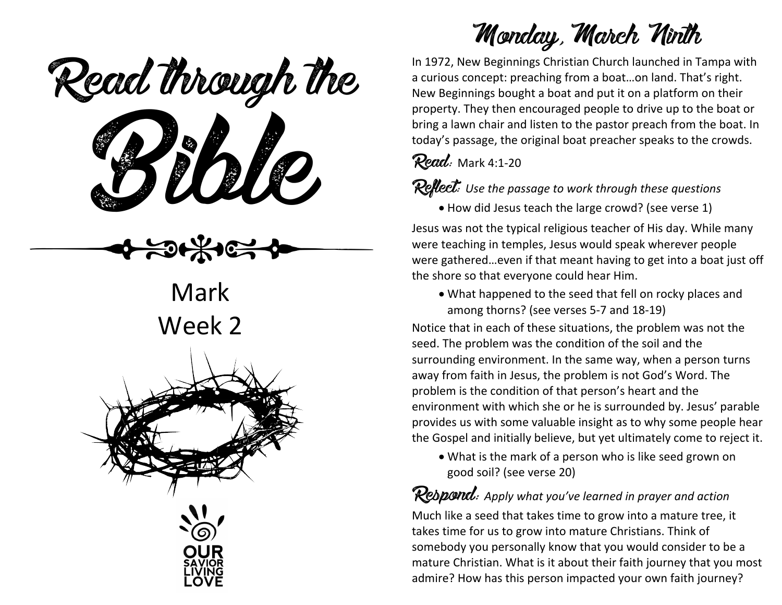ead mough is Read through the

**Mark** Week 2



# Monday, March Ninth

In 1972, New Beginnings Christian Church launched in Tampa with a curious concept: preaching from a boat…on land. That's right. New Beginnings bought a boat and put it on a platform on their property. They then encouraged people to drive up to the boat or bring a lawn chair and listen to the pastor preach from the boat. In today's passage, the original boat preacher speaks to the crowds.

Read: Mark 4:1-20

Reflect: *Use the passage to work through these questions*

• How did Jesus teach the large crowd? (see verse 1)

Jesus was not the typical religious teacher of His day. While many were teaching in temples, Jesus would speak wherever people were gathered…even if that meant having to get into a boat just off the shore so that everyone could hear Him.

• What happened to the seed that fell on rocky places and among thorns? (see verses 5-7 and 18-19)

Notice that in each of these situations, the problem was not the seed. The problem was the condition of the soil and the surrounding environment. In the same way, when a person turns away from faith in Jesus, the problem is not God's Word. The problem is the condition of that person's heart and the environment with which she or he is surrounded by. Jesus' parable provides us with some valuable insight as to why some people hear the Gospel and initially believe, but yet ultimately come to reject it.

• What is the mark of a person who is like seed grown on good soil? (see verse 20)

Respond: *Apply what you've learned in prayer and action* Much like a seed that takes time to grow into a mature tree, it takes time for us to grow into mature Christians. Think of somebody you personally know that you would consider to be a mature Christian. What is it about their faith journey that you most admire? How has this person impacted your own faith journey?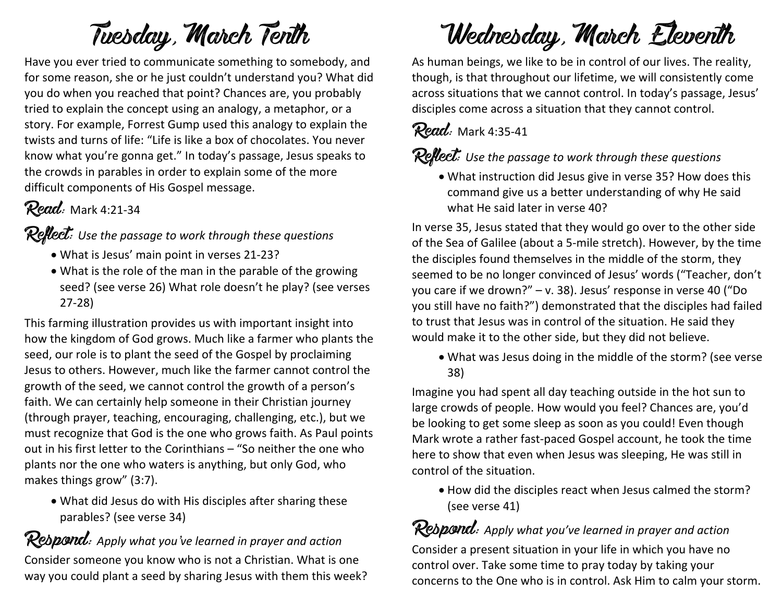# Tuesday, March Tenth

Have you ever tried to communicate something to somebody, and for some reason, she or he just couldn't understand you? What did you do when you reached that point? Chances are, you probably tried to explain the concept using an analogy, a metaphor, or a story. For example, Forrest Gump used this analogy to explain the twists and turns of life: "Life is like a box of chocolates. You never know what you're gonna get." In today's passage, Jesus speaks to the crowds in parables in order to explain some of the more difficult components of His Gospel message.

### Read: Mark 4:21-34

#### Reflect: *Use the passage to work through these questions*

- What is Jesus' main point in verses 21-23?
- What is the role of the man in the parable of the growing seed? (see verse 26) What role doesn't he play? (see verses 27-28)

This farming illustration provides us with important insight into how the kingdom of God grows. Much like a farmer who plants the seed, our role is to plant the seed of the Gospel by proclaiming Jesus to others. However, much like the farmer cannot control the growth of the seed, we cannot control the growth of a person's faith. We can certainly help someone in their Christian journey (through prayer, teaching, encouraging, challenging, etc.), but we must recognize that God is the one who grows faith. As Paul points out in his first letter to the Corinthians – "So neither the one who plants nor the one who waters is anything, but only God, who makes things grow" (3:7).

• What did Jesus do with His disciples after sharing these parables? (see verse 34)

## Respond: *Apply what you've learned in prayer and action*

Consider someone you know who is not a Christian. What is one way you could plant a seed by sharing Jesus with them this week?

# Wednesday, March Eleventh

As human beings, we like to be in control of our lives. The reality, though, is that throughout our lifetime, we will consistently come across situations that we cannot control. In today's passage, Jesus' disciples come across a situation that they cannot control.

#### Read: Mark 4:35-41

#### Reflect: *Use the passage to work through these questions*

• What instruction did Jesus give in verse 35? How does this command give us a better understanding of why He said what He said later in verse 40?

In verse 35, Jesus stated that they would go over to the other side of the Sea of Galilee (about a 5-mile stretch). However, by the time the disciples found themselves in the middle of the storm, they seemed to be no longer convinced of Jesus' words ("Teacher, don't you care if we drown?" – v. 38). Jesus' response in verse 40 ("Do you still have no faith?") demonstrated that the disciples had failed to trust that Jesus was in control of the situation. He said they would make it to the other side, but they did not believe.

• What was Jesus doing in the middle of the storm? (see verse 38)

Imagine you had spent all day teaching outside in the hot sun to large crowds of people. How would you feel? Chances are, you'd be looking to get some sleep as soon as you could! Even though Mark wrote a rather fast-paced Gospel account, he took the time here to show that even when Jesus was sleeping, He was still in control of the situation.

• How did the disciples react when Jesus calmed the storm? (see verse 41)

### Respond: *Apply what you've learned in prayer and action*

Consider a present situation in your life in which you have no control over. Take some time to pray today by taking your concerns to the One who is in control. Ask Him to calm your storm.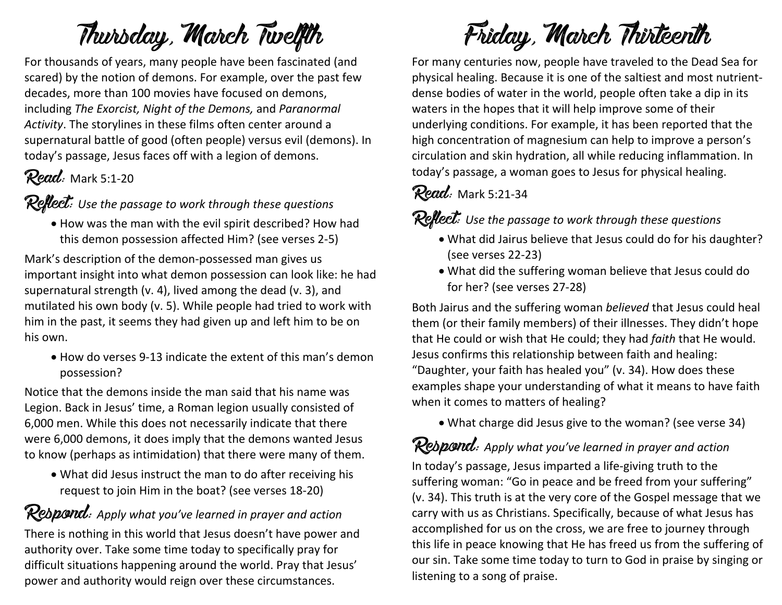# Thursday, March Twelfth

For thousands of years, many people have been fascinated (and scared) by the notion of demons. For example, over the past few decades, more than 100 movies have focused on demons, including *The Exorcist, Night of the Demons,* and *Paranormal Activity*. The storylines in these films often center around a supernatural battle of good (often people) versus evil (demons). In today's passage, Jesus faces off with a legion of demons.

### Read: Mark 5:1-20

Reflect: *Use the passage to work through these questions*

• How was the man with the evil spirit described? How had this demon possession affected Him? (see verses 2-5)

Mark's description of the demon-possessed man gives us important insight into what demon possession can look like: he had supernatural strength (v. 4), lived among the dead (v. 3), and mutilated his own body (v. 5). While people had tried to work with him in the past, it seems they had given up and left him to be on his own.

• How do verses 9-13 indicate the extent of this man's demon possession?

Notice that the demons inside the man said that his name was Legion. Back in Jesus' time, a Roman legion usually consisted of 6,000 men. While this does not necessarily indicate that there were 6,000 demons, it does imply that the demons wanted Jesus to know (perhaps as intimidation) that there were many of them.

• What did Jesus instruct the man to do after receiving his request to join Him in the boat? (see verses 18-20)

Rebpond: Apply what you've learned in prayer and action There is nothing in this world that Jesus doesn't have power and authority over. Take some time today to specifically pray for difficult situations happening around the world. Pray that Jesus' power and authority would reign over these circumstances.



For many centuries now, people have traveled to the Dead Sea for physical healing. Because it is one of the saltiest and most nutrientdense bodies of water in the world, people often take a dip in its waters in the hopes that it will help improve some of their underlying conditions. For example, it has been reported that the high concentration of magnesium can help to improve a person's circulation and skin hydration, all while reducing inflammation. In today's passage, a woman goes to Jesus for physical healing.

#### Read: Mark 5:21-34

Reflect: *Use the passage to work through these questions*

- What did Jairus believe that Jesus could do for his daughter? (see verses 22-23)
- What did the suffering woman believe that Jesus could do for her? (see verses 27-28)

Both Jairus and the suffering woman *believed* that Jesus could heal them (or their family members) of their illnesses. They didn't hope that He could or wish that He could; they had *faith* that He would. Jesus confirms this relationship between faith and healing: "Daughter, your faith has healed you" (v. 34). How does these examples shape your understanding of what it means to have faith when it comes to matters of healing?

• What charge did Jesus give to the woman? (see verse 34)

#### Respond: *Apply what you've learned in prayer and action*

In today's passage, Jesus imparted a life-giving truth to the suffering woman: "Go in peace and be freed from your suffering" (v. 34). This truth is at the very core of the Gospel message that we carry with us as Christians. Specifically, because of what Jesus has accomplished for us on the cross, we are free to journey through this life in peace knowing that He has freed us from the suffering of our sin. Take some time today to turn to God in praise by singing or listening to a song of praise.